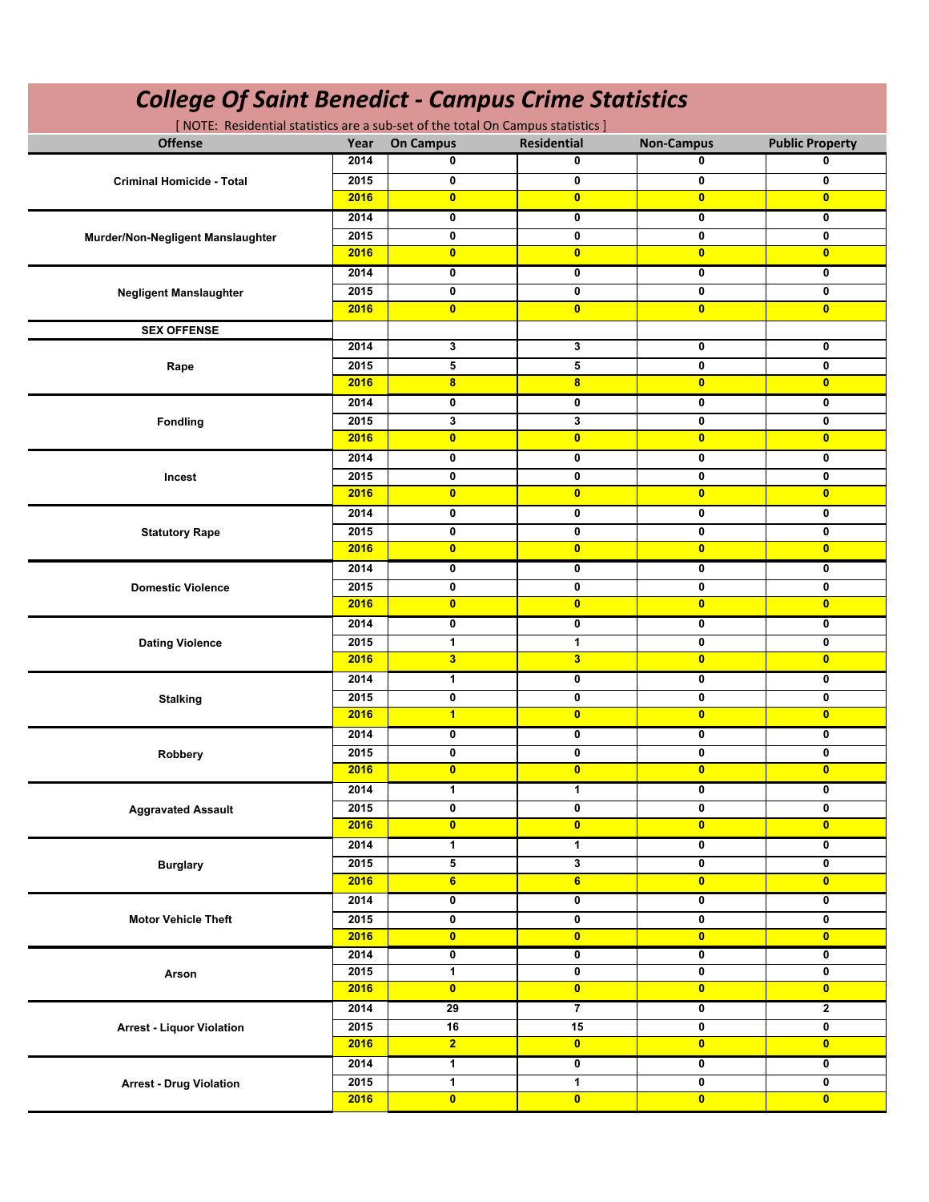| <b>Offense</b><br><b>Residential</b><br><b>Non-Campus</b><br><b>Public Property</b><br>Year<br><b>On Campus</b><br>0<br>0<br>2014<br>0<br>0<br>0<br>0<br>2015<br>0<br>0<br><b>Criminal Homicide - Total</b><br>2016<br>$\mathbf{0}$<br>$\overline{0}$<br>$\mathbf{0}$<br>$\overline{0}$<br>2014<br>0<br>0<br>0<br>0<br>$\mathbf 0$<br>0<br>2015<br>0<br>0<br>Murder/Non-Negligent Manslaughter<br>$\mathbf{0}$<br>$\bullet$<br>$\overline{0}$<br>2016<br>$\overline{0}$<br>0<br>2014<br>0<br>0<br>0<br>2015<br>0<br>0<br>0<br>0<br><b>Negligent Manslaughter</b><br>$\bullet$<br>2016<br>$\mathbf{0}$<br>$\mathbf{0}$<br>$\mathbf{0}$<br><b>SEX OFFENSE</b><br>3<br>3<br>0<br>0<br>2014<br>5<br>5<br>0<br>0<br>2015<br>Rape<br>2016<br>8<br>$\bf{8}$<br>$\overline{0}$<br>$\overline{0}$<br>0<br>2014<br>0<br>0<br>0<br>3<br>3<br>$\mathbf 0$<br>$\mathbf 0$<br>2015<br><b>Fondling</b><br>$\bullet$<br>$\bullet$<br>$\overline{0}$<br>$\overline{0}$<br>2016<br>2014<br>$\mathbf 0$<br>0<br>$\mathbf 0$<br>$\mathbf 0$<br>$\mathbf 0$<br>0<br>0<br>$\mathbf 0$<br>2015<br>Incest<br>$\mathbf{0}$<br>$\mathbf{0}$<br>$\overline{0}$<br>2016<br>$\overline{0}$<br>$\mathbf 0$<br>0<br>0<br>$\mathbf 0$<br>2014<br>0<br>0<br>2015<br>0<br>0<br><b>Statutory Rape</b><br>2016<br>$\mathbf{0}$<br>$\mathbf{0}$<br>$\mathbf{0}$<br>$\mathbf{0}$<br>2014<br>0<br>0<br>0<br>0<br>$\mathbf 0$<br>0<br>2015<br>0<br>0<br><b>Domestic Violence</b><br>$\mathbf{0}$<br>$\bullet$<br>$\overline{0}$<br>2016<br>$\overline{0}$<br>2014<br>0<br>0<br>0<br>0<br>2015<br>1<br>0<br>1<br>0<br><b>Dating Violence</b><br>$\overline{\mathbf{3}}$<br>3<br>$\overline{\mathbf{0}}$<br>2016<br>$\mathbf{0}$<br>1<br>0<br>2014<br>0<br>0<br>0<br>0<br>2015<br>0<br>0<br><b>Stalking</b><br>$\blacksquare$<br>$\bullet$<br>$\mathbf{0}$<br>2016<br>$\overline{0}$<br>2014<br>0<br>0<br>0<br>0<br>0<br>0<br>2015<br>0<br>0<br>Robbery<br>2016<br>$\bullet$<br>$\bullet$<br>$\bullet$<br>$\bullet$<br>1<br>1<br>$\mathbf 0$<br>2014<br>0<br>2015<br>$\mathbf 0$<br>0<br>$\mathbf 0$<br>0<br><b>Aggravated Assault</b><br>$\bullet$<br>$\overline{\mathbf{0}}$<br>$\overline{\mathbf{0}}$<br>$\bullet$<br>2016<br>$\overline{\mathbf{0}}$<br>2014<br>1<br>$\mathbf{1}$<br>0<br>5<br>3<br>$\mathbf 0$<br>2015<br>0<br><b>Burglary</b><br>$6\phantom{a}$<br>6<br>$\bullet$<br>2016<br>$\bullet$<br>2014<br>0<br>0<br>0<br>0<br>0<br>0<br>2015<br>0<br>0<br><b>Motor Vehicle Theft</b><br>$\bullet$<br>$\overline{\mathbf{0}}$<br>$\bullet$<br>2016<br>$\bullet$<br>$\overline{\mathbf{0}}$<br>2014<br>0<br>0<br>0<br>$\mathbf{1}$<br>$\mathbf 0$<br>2015<br>0<br>0<br>Arson<br>2016<br>$\bullet$<br>$\bullet$<br>$\bullet$<br>$\bullet$<br>$\overline{7}$<br>$\overline{\mathbf{0}}$<br>$\mathbf{2}$<br>2014<br>29<br>0<br>0<br>2015<br>16<br>15<br><b>Arrest - Liquor Violation</b><br>$\overline{2}$<br>$\bullet$<br>$\bullet$<br>$\bullet$<br>2016<br>1<br>$\overline{\mathbf{0}}$<br>2014<br>0<br>0<br>$\mathbf{1}$<br>$\mathbf{1}$<br>$\mathbf 0$<br>2015<br>0<br><b>Arrest - Drug Violation</b> | <b>College Of Saint Benedict - Campus Crime Statistics</b><br>[NOTE: Residential statistics are a sub-set of the total On Campus statistics] |      |           |           |           |           |  |  |  |
|---------------------------------------------------------------------------------------------------------------------------------------------------------------------------------------------------------------------------------------------------------------------------------------------------------------------------------------------------------------------------------------------------------------------------------------------------------------------------------------------------------------------------------------------------------------------------------------------------------------------------------------------------------------------------------------------------------------------------------------------------------------------------------------------------------------------------------------------------------------------------------------------------------------------------------------------------------------------------------------------------------------------------------------------------------------------------------------------------------------------------------------------------------------------------------------------------------------------------------------------------------------------------------------------------------------------------------------------------------------------------------------------------------------------------------------------------------------------------------------------------------------------------------------------------------------------------------------------------------------------------------------------------------------------------------------------------------------------------------------------------------------------------------------------------------------------------------------------------------------------------------------------------------------------------------------------------------------------------------------------------------------------------------------------------------------------------------------------------------------------------------------------------------------------------------------------------------------------------------------------------------------------------------------------------------------------------------------------------------------------------------------------------------------------------------------------------------------------------------------------------------------------------------------------------------------------------------------------------------------------------------------------------------------------------------------------------------------------------------------------------------------------------------------------------------------------------------------------------------------------------------------------------------------------------------------------------------------------------------------------------------------------------------------------------------------------------|----------------------------------------------------------------------------------------------------------------------------------------------|------|-----------|-----------|-----------|-----------|--|--|--|
|                                                                                                                                                                                                                                                                                                                                                                                                                                                                                                                                                                                                                                                                                                                                                                                                                                                                                                                                                                                                                                                                                                                                                                                                                                                                                                                                                                                                                                                                                                                                                                                                                                                                                                                                                                                                                                                                                                                                                                                                                                                                                                                                                                                                                                                                                                                                                                                                                                                                                                                                                                                                                                                                                                                                                                                                                                                                                                                                                                                                                                                                           |                                                                                                                                              |      |           |           |           |           |  |  |  |
|                                                                                                                                                                                                                                                                                                                                                                                                                                                                                                                                                                                                                                                                                                                                                                                                                                                                                                                                                                                                                                                                                                                                                                                                                                                                                                                                                                                                                                                                                                                                                                                                                                                                                                                                                                                                                                                                                                                                                                                                                                                                                                                                                                                                                                                                                                                                                                                                                                                                                                                                                                                                                                                                                                                                                                                                                                                                                                                                                                                                                                                                           |                                                                                                                                              |      |           |           |           |           |  |  |  |
|                                                                                                                                                                                                                                                                                                                                                                                                                                                                                                                                                                                                                                                                                                                                                                                                                                                                                                                                                                                                                                                                                                                                                                                                                                                                                                                                                                                                                                                                                                                                                                                                                                                                                                                                                                                                                                                                                                                                                                                                                                                                                                                                                                                                                                                                                                                                                                                                                                                                                                                                                                                                                                                                                                                                                                                                                                                                                                                                                                                                                                                                           |                                                                                                                                              |      |           |           |           |           |  |  |  |
|                                                                                                                                                                                                                                                                                                                                                                                                                                                                                                                                                                                                                                                                                                                                                                                                                                                                                                                                                                                                                                                                                                                                                                                                                                                                                                                                                                                                                                                                                                                                                                                                                                                                                                                                                                                                                                                                                                                                                                                                                                                                                                                                                                                                                                                                                                                                                                                                                                                                                                                                                                                                                                                                                                                                                                                                                                                                                                                                                                                                                                                                           |                                                                                                                                              |      |           |           |           |           |  |  |  |
|                                                                                                                                                                                                                                                                                                                                                                                                                                                                                                                                                                                                                                                                                                                                                                                                                                                                                                                                                                                                                                                                                                                                                                                                                                                                                                                                                                                                                                                                                                                                                                                                                                                                                                                                                                                                                                                                                                                                                                                                                                                                                                                                                                                                                                                                                                                                                                                                                                                                                                                                                                                                                                                                                                                                                                                                                                                                                                                                                                                                                                                                           |                                                                                                                                              |      |           |           |           |           |  |  |  |
|                                                                                                                                                                                                                                                                                                                                                                                                                                                                                                                                                                                                                                                                                                                                                                                                                                                                                                                                                                                                                                                                                                                                                                                                                                                                                                                                                                                                                                                                                                                                                                                                                                                                                                                                                                                                                                                                                                                                                                                                                                                                                                                                                                                                                                                                                                                                                                                                                                                                                                                                                                                                                                                                                                                                                                                                                                                                                                                                                                                                                                                                           |                                                                                                                                              |      |           |           |           |           |  |  |  |
|                                                                                                                                                                                                                                                                                                                                                                                                                                                                                                                                                                                                                                                                                                                                                                                                                                                                                                                                                                                                                                                                                                                                                                                                                                                                                                                                                                                                                                                                                                                                                                                                                                                                                                                                                                                                                                                                                                                                                                                                                                                                                                                                                                                                                                                                                                                                                                                                                                                                                                                                                                                                                                                                                                                                                                                                                                                                                                                                                                                                                                                                           |                                                                                                                                              |      |           |           |           |           |  |  |  |
|                                                                                                                                                                                                                                                                                                                                                                                                                                                                                                                                                                                                                                                                                                                                                                                                                                                                                                                                                                                                                                                                                                                                                                                                                                                                                                                                                                                                                                                                                                                                                                                                                                                                                                                                                                                                                                                                                                                                                                                                                                                                                                                                                                                                                                                                                                                                                                                                                                                                                                                                                                                                                                                                                                                                                                                                                                                                                                                                                                                                                                                                           |                                                                                                                                              |      |           |           |           |           |  |  |  |
|                                                                                                                                                                                                                                                                                                                                                                                                                                                                                                                                                                                                                                                                                                                                                                                                                                                                                                                                                                                                                                                                                                                                                                                                                                                                                                                                                                                                                                                                                                                                                                                                                                                                                                                                                                                                                                                                                                                                                                                                                                                                                                                                                                                                                                                                                                                                                                                                                                                                                                                                                                                                                                                                                                                                                                                                                                                                                                                                                                                                                                                                           |                                                                                                                                              |      |           |           |           |           |  |  |  |
|                                                                                                                                                                                                                                                                                                                                                                                                                                                                                                                                                                                                                                                                                                                                                                                                                                                                                                                                                                                                                                                                                                                                                                                                                                                                                                                                                                                                                                                                                                                                                                                                                                                                                                                                                                                                                                                                                                                                                                                                                                                                                                                                                                                                                                                                                                                                                                                                                                                                                                                                                                                                                                                                                                                                                                                                                                                                                                                                                                                                                                                                           |                                                                                                                                              |      |           |           |           |           |  |  |  |
|                                                                                                                                                                                                                                                                                                                                                                                                                                                                                                                                                                                                                                                                                                                                                                                                                                                                                                                                                                                                                                                                                                                                                                                                                                                                                                                                                                                                                                                                                                                                                                                                                                                                                                                                                                                                                                                                                                                                                                                                                                                                                                                                                                                                                                                                                                                                                                                                                                                                                                                                                                                                                                                                                                                                                                                                                                                                                                                                                                                                                                                                           |                                                                                                                                              |      |           |           |           |           |  |  |  |
|                                                                                                                                                                                                                                                                                                                                                                                                                                                                                                                                                                                                                                                                                                                                                                                                                                                                                                                                                                                                                                                                                                                                                                                                                                                                                                                                                                                                                                                                                                                                                                                                                                                                                                                                                                                                                                                                                                                                                                                                                                                                                                                                                                                                                                                                                                                                                                                                                                                                                                                                                                                                                                                                                                                                                                                                                                                                                                                                                                                                                                                                           |                                                                                                                                              |      |           |           |           |           |  |  |  |
|                                                                                                                                                                                                                                                                                                                                                                                                                                                                                                                                                                                                                                                                                                                                                                                                                                                                                                                                                                                                                                                                                                                                                                                                                                                                                                                                                                                                                                                                                                                                                                                                                                                                                                                                                                                                                                                                                                                                                                                                                                                                                                                                                                                                                                                                                                                                                                                                                                                                                                                                                                                                                                                                                                                                                                                                                                                                                                                                                                                                                                                                           |                                                                                                                                              |      |           |           |           |           |  |  |  |
|                                                                                                                                                                                                                                                                                                                                                                                                                                                                                                                                                                                                                                                                                                                                                                                                                                                                                                                                                                                                                                                                                                                                                                                                                                                                                                                                                                                                                                                                                                                                                                                                                                                                                                                                                                                                                                                                                                                                                                                                                                                                                                                                                                                                                                                                                                                                                                                                                                                                                                                                                                                                                                                                                                                                                                                                                                                                                                                                                                                                                                                                           |                                                                                                                                              |      |           |           |           |           |  |  |  |
|                                                                                                                                                                                                                                                                                                                                                                                                                                                                                                                                                                                                                                                                                                                                                                                                                                                                                                                                                                                                                                                                                                                                                                                                                                                                                                                                                                                                                                                                                                                                                                                                                                                                                                                                                                                                                                                                                                                                                                                                                                                                                                                                                                                                                                                                                                                                                                                                                                                                                                                                                                                                                                                                                                                                                                                                                                                                                                                                                                                                                                                                           |                                                                                                                                              |      |           |           |           |           |  |  |  |
|                                                                                                                                                                                                                                                                                                                                                                                                                                                                                                                                                                                                                                                                                                                                                                                                                                                                                                                                                                                                                                                                                                                                                                                                                                                                                                                                                                                                                                                                                                                                                                                                                                                                                                                                                                                                                                                                                                                                                                                                                                                                                                                                                                                                                                                                                                                                                                                                                                                                                                                                                                                                                                                                                                                                                                                                                                                                                                                                                                                                                                                                           |                                                                                                                                              |      |           |           |           |           |  |  |  |
|                                                                                                                                                                                                                                                                                                                                                                                                                                                                                                                                                                                                                                                                                                                                                                                                                                                                                                                                                                                                                                                                                                                                                                                                                                                                                                                                                                                                                                                                                                                                                                                                                                                                                                                                                                                                                                                                                                                                                                                                                                                                                                                                                                                                                                                                                                                                                                                                                                                                                                                                                                                                                                                                                                                                                                                                                                                                                                                                                                                                                                                                           |                                                                                                                                              |      |           |           |           |           |  |  |  |
|                                                                                                                                                                                                                                                                                                                                                                                                                                                                                                                                                                                                                                                                                                                                                                                                                                                                                                                                                                                                                                                                                                                                                                                                                                                                                                                                                                                                                                                                                                                                                                                                                                                                                                                                                                                                                                                                                                                                                                                                                                                                                                                                                                                                                                                                                                                                                                                                                                                                                                                                                                                                                                                                                                                                                                                                                                                                                                                                                                                                                                                                           |                                                                                                                                              |      |           |           |           |           |  |  |  |
|                                                                                                                                                                                                                                                                                                                                                                                                                                                                                                                                                                                                                                                                                                                                                                                                                                                                                                                                                                                                                                                                                                                                                                                                                                                                                                                                                                                                                                                                                                                                                                                                                                                                                                                                                                                                                                                                                                                                                                                                                                                                                                                                                                                                                                                                                                                                                                                                                                                                                                                                                                                                                                                                                                                                                                                                                                                                                                                                                                                                                                                                           |                                                                                                                                              |      |           |           |           |           |  |  |  |
|                                                                                                                                                                                                                                                                                                                                                                                                                                                                                                                                                                                                                                                                                                                                                                                                                                                                                                                                                                                                                                                                                                                                                                                                                                                                                                                                                                                                                                                                                                                                                                                                                                                                                                                                                                                                                                                                                                                                                                                                                                                                                                                                                                                                                                                                                                                                                                                                                                                                                                                                                                                                                                                                                                                                                                                                                                                                                                                                                                                                                                                                           |                                                                                                                                              |      |           |           |           |           |  |  |  |
|                                                                                                                                                                                                                                                                                                                                                                                                                                                                                                                                                                                                                                                                                                                                                                                                                                                                                                                                                                                                                                                                                                                                                                                                                                                                                                                                                                                                                                                                                                                                                                                                                                                                                                                                                                                                                                                                                                                                                                                                                                                                                                                                                                                                                                                                                                                                                                                                                                                                                                                                                                                                                                                                                                                                                                                                                                                                                                                                                                                                                                                                           |                                                                                                                                              |      |           |           |           |           |  |  |  |
|                                                                                                                                                                                                                                                                                                                                                                                                                                                                                                                                                                                                                                                                                                                                                                                                                                                                                                                                                                                                                                                                                                                                                                                                                                                                                                                                                                                                                                                                                                                                                                                                                                                                                                                                                                                                                                                                                                                                                                                                                                                                                                                                                                                                                                                                                                                                                                                                                                                                                                                                                                                                                                                                                                                                                                                                                                                                                                                                                                                                                                                                           |                                                                                                                                              |      |           |           |           |           |  |  |  |
|                                                                                                                                                                                                                                                                                                                                                                                                                                                                                                                                                                                                                                                                                                                                                                                                                                                                                                                                                                                                                                                                                                                                                                                                                                                                                                                                                                                                                                                                                                                                                                                                                                                                                                                                                                                                                                                                                                                                                                                                                                                                                                                                                                                                                                                                                                                                                                                                                                                                                                                                                                                                                                                                                                                                                                                                                                                                                                                                                                                                                                                                           |                                                                                                                                              |      |           |           |           |           |  |  |  |
|                                                                                                                                                                                                                                                                                                                                                                                                                                                                                                                                                                                                                                                                                                                                                                                                                                                                                                                                                                                                                                                                                                                                                                                                                                                                                                                                                                                                                                                                                                                                                                                                                                                                                                                                                                                                                                                                                                                                                                                                                                                                                                                                                                                                                                                                                                                                                                                                                                                                                                                                                                                                                                                                                                                                                                                                                                                                                                                                                                                                                                                                           |                                                                                                                                              |      |           |           |           |           |  |  |  |
|                                                                                                                                                                                                                                                                                                                                                                                                                                                                                                                                                                                                                                                                                                                                                                                                                                                                                                                                                                                                                                                                                                                                                                                                                                                                                                                                                                                                                                                                                                                                                                                                                                                                                                                                                                                                                                                                                                                                                                                                                                                                                                                                                                                                                                                                                                                                                                                                                                                                                                                                                                                                                                                                                                                                                                                                                                                                                                                                                                                                                                                                           |                                                                                                                                              |      |           |           |           |           |  |  |  |
|                                                                                                                                                                                                                                                                                                                                                                                                                                                                                                                                                                                                                                                                                                                                                                                                                                                                                                                                                                                                                                                                                                                                                                                                                                                                                                                                                                                                                                                                                                                                                                                                                                                                                                                                                                                                                                                                                                                                                                                                                                                                                                                                                                                                                                                                                                                                                                                                                                                                                                                                                                                                                                                                                                                                                                                                                                                                                                                                                                                                                                                                           |                                                                                                                                              |      |           |           |           |           |  |  |  |
|                                                                                                                                                                                                                                                                                                                                                                                                                                                                                                                                                                                                                                                                                                                                                                                                                                                                                                                                                                                                                                                                                                                                                                                                                                                                                                                                                                                                                                                                                                                                                                                                                                                                                                                                                                                                                                                                                                                                                                                                                                                                                                                                                                                                                                                                                                                                                                                                                                                                                                                                                                                                                                                                                                                                                                                                                                                                                                                                                                                                                                                                           |                                                                                                                                              |      |           |           |           |           |  |  |  |
|                                                                                                                                                                                                                                                                                                                                                                                                                                                                                                                                                                                                                                                                                                                                                                                                                                                                                                                                                                                                                                                                                                                                                                                                                                                                                                                                                                                                                                                                                                                                                                                                                                                                                                                                                                                                                                                                                                                                                                                                                                                                                                                                                                                                                                                                                                                                                                                                                                                                                                                                                                                                                                                                                                                                                                                                                                                                                                                                                                                                                                                                           |                                                                                                                                              |      |           |           |           |           |  |  |  |
|                                                                                                                                                                                                                                                                                                                                                                                                                                                                                                                                                                                                                                                                                                                                                                                                                                                                                                                                                                                                                                                                                                                                                                                                                                                                                                                                                                                                                                                                                                                                                                                                                                                                                                                                                                                                                                                                                                                                                                                                                                                                                                                                                                                                                                                                                                                                                                                                                                                                                                                                                                                                                                                                                                                                                                                                                                                                                                                                                                                                                                                                           |                                                                                                                                              |      |           |           |           |           |  |  |  |
|                                                                                                                                                                                                                                                                                                                                                                                                                                                                                                                                                                                                                                                                                                                                                                                                                                                                                                                                                                                                                                                                                                                                                                                                                                                                                                                                                                                                                                                                                                                                                                                                                                                                                                                                                                                                                                                                                                                                                                                                                                                                                                                                                                                                                                                                                                                                                                                                                                                                                                                                                                                                                                                                                                                                                                                                                                                                                                                                                                                                                                                                           |                                                                                                                                              |      |           |           |           |           |  |  |  |
|                                                                                                                                                                                                                                                                                                                                                                                                                                                                                                                                                                                                                                                                                                                                                                                                                                                                                                                                                                                                                                                                                                                                                                                                                                                                                                                                                                                                                                                                                                                                                                                                                                                                                                                                                                                                                                                                                                                                                                                                                                                                                                                                                                                                                                                                                                                                                                                                                                                                                                                                                                                                                                                                                                                                                                                                                                                                                                                                                                                                                                                                           |                                                                                                                                              |      |           |           |           |           |  |  |  |
|                                                                                                                                                                                                                                                                                                                                                                                                                                                                                                                                                                                                                                                                                                                                                                                                                                                                                                                                                                                                                                                                                                                                                                                                                                                                                                                                                                                                                                                                                                                                                                                                                                                                                                                                                                                                                                                                                                                                                                                                                                                                                                                                                                                                                                                                                                                                                                                                                                                                                                                                                                                                                                                                                                                                                                                                                                                                                                                                                                                                                                                                           |                                                                                                                                              |      |           |           |           |           |  |  |  |
|                                                                                                                                                                                                                                                                                                                                                                                                                                                                                                                                                                                                                                                                                                                                                                                                                                                                                                                                                                                                                                                                                                                                                                                                                                                                                                                                                                                                                                                                                                                                                                                                                                                                                                                                                                                                                                                                                                                                                                                                                                                                                                                                                                                                                                                                                                                                                                                                                                                                                                                                                                                                                                                                                                                                                                                                                                                                                                                                                                                                                                                                           |                                                                                                                                              |      |           |           |           |           |  |  |  |
|                                                                                                                                                                                                                                                                                                                                                                                                                                                                                                                                                                                                                                                                                                                                                                                                                                                                                                                                                                                                                                                                                                                                                                                                                                                                                                                                                                                                                                                                                                                                                                                                                                                                                                                                                                                                                                                                                                                                                                                                                                                                                                                                                                                                                                                                                                                                                                                                                                                                                                                                                                                                                                                                                                                                                                                                                                                                                                                                                                                                                                                                           |                                                                                                                                              |      |           |           |           |           |  |  |  |
|                                                                                                                                                                                                                                                                                                                                                                                                                                                                                                                                                                                                                                                                                                                                                                                                                                                                                                                                                                                                                                                                                                                                                                                                                                                                                                                                                                                                                                                                                                                                                                                                                                                                                                                                                                                                                                                                                                                                                                                                                                                                                                                                                                                                                                                                                                                                                                                                                                                                                                                                                                                                                                                                                                                                                                                                                                                                                                                                                                                                                                                                           |                                                                                                                                              |      |           |           |           |           |  |  |  |
|                                                                                                                                                                                                                                                                                                                                                                                                                                                                                                                                                                                                                                                                                                                                                                                                                                                                                                                                                                                                                                                                                                                                                                                                                                                                                                                                                                                                                                                                                                                                                                                                                                                                                                                                                                                                                                                                                                                                                                                                                                                                                                                                                                                                                                                                                                                                                                                                                                                                                                                                                                                                                                                                                                                                                                                                                                                                                                                                                                                                                                                                           |                                                                                                                                              |      |           |           |           |           |  |  |  |
|                                                                                                                                                                                                                                                                                                                                                                                                                                                                                                                                                                                                                                                                                                                                                                                                                                                                                                                                                                                                                                                                                                                                                                                                                                                                                                                                                                                                                                                                                                                                                                                                                                                                                                                                                                                                                                                                                                                                                                                                                                                                                                                                                                                                                                                                                                                                                                                                                                                                                                                                                                                                                                                                                                                                                                                                                                                                                                                                                                                                                                                                           |                                                                                                                                              |      |           |           |           |           |  |  |  |
|                                                                                                                                                                                                                                                                                                                                                                                                                                                                                                                                                                                                                                                                                                                                                                                                                                                                                                                                                                                                                                                                                                                                                                                                                                                                                                                                                                                                                                                                                                                                                                                                                                                                                                                                                                                                                                                                                                                                                                                                                                                                                                                                                                                                                                                                                                                                                                                                                                                                                                                                                                                                                                                                                                                                                                                                                                                                                                                                                                                                                                                                           |                                                                                                                                              |      |           |           |           |           |  |  |  |
|                                                                                                                                                                                                                                                                                                                                                                                                                                                                                                                                                                                                                                                                                                                                                                                                                                                                                                                                                                                                                                                                                                                                                                                                                                                                                                                                                                                                                                                                                                                                                                                                                                                                                                                                                                                                                                                                                                                                                                                                                                                                                                                                                                                                                                                                                                                                                                                                                                                                                                                                                                                                                                                                                                                                                                                                                                                                                                                                                                                                                                                                           |                                                                                                                                              |      |           |           |           |           |  |  |  |
|                                                                                                                                                                                                                                                                                                                                                                                                                                                                                                                                                                                                                                                                                                                                                                                                                                                                                                                                                                                                                                                                                                                                                                                                                                                                                                                                                                                                                                                                                                                                                                                                                                                                                                                                                                                                                                                                                                                                                                                                                                                                                                                                                                                                                                                                                                                                                                                                                                                                                                                                                                                                                                                                                                                                                                                                                                                                                                                                                                                                                                                                           |                                                                                                                                              |      |           |           |           |           |  |  |  |
|                                                                                                                                                                                                                                                                                                                                                                                                                                                                                                                                                                                                                                                                                                                                                                                                                                                                                                                                                                                                                                                                                                                                                                                                                                                                                                                                                                                                                                                                                                                                                                                                                                                                                                                                                                                                                                                                                                                                                                                                                                                                                                                                                                                                                                                                                                                                                                                                                                                                                                                                                                                                                                                                                                                                                                                                                                                                                                                                                                                                                                                                           |                                                                                                                                              |      |           |           |           |           |  |  |  |
|                                                                                                                                                                                                                                                                                                                                                                                                                                                                                                                                                                                                                                                                                                                                                                                                                                                                                                                                                                                                                                                                                                                                                                                                                                                                                                                                                                                                                                                                                                                                                                                                                                                                                                                                                                                                                                                                                                                                                                                                                                                                                                                                                                                                                                                                                                                                                                                                                                                                                                                                                                                                                                                                                                                                                                                                                                                                                                                                                                                                                                                                           |                                                                                                                                              |      |           |           |           |           |  |  |  |
|                                                                                                                                                                                                                                                                                                                                                                                                                                                                                                                                                                                                                                                                                                                                                                                                                                                                                                                                                                                                                                                                                                                                                                                                                                                                                                                                                                                                                                                                                                                                                                                                                                                                                                                                                                                                                                                                                                                                                                                                                                                                                                                                                                                                                                                                                                                                                                                                                                                                                                                                                                                                                                                                                                                                                                                                                                                                                                                                                                                                                                                                           |                                                                                                                                              |      |           |           |           |           |  |  |  |
|                                                                                                                                                                                                                                                                                                                                                                                                                                                                                                                                                                                                                                                                                                                                                                                                                                                                                                                                                                                                                                                                                                                                                                                                                                                                                                                                                                                                                                                                                                                                                                                                                                                                                                                                                                                                                                                                                                                                                                                                                                                                                                                                                                                                                                                                                                                                                                                                                                                                                                                                                                                                                                                                                                                                                                                                                                                                                                                                                                                                                                                                           |                                                                                                                                              |      |           |           |           |           |  |  |  |
|                                                                                                                                                                                                                                                                                                                                                                                                                                                                                                                                                                                                                                                                                                                                                                                                                                                                                                                                                                                                                                                                                                                                                                                                                                                                                                                                                                                                                                                                                                                                                                                                                                                                                                                                                                                                                                                                                                                                                                                                                                                                                                                                                                                                                                                                                                                                                                                                                                                                                                                                                                                                                                                                                                                                                                                                                                                                                                                                                                                                                                                                           |                                                                                                                                              |      |           |           |           |           |  |  |  |
|                                                                                                                                                                                                                                                                                                                                                                                                                                                                                                                                                                                                                                                                                                                                                                                                                                                                                                                                                                                                                                                                                                                                                                                                                                                                                                                                                                                                                                                                                                                                                                                                                                                                                                                                                                                                                                                                                                                                                                                                                                                                                                                                                                                                                                                                                                                                                                                                                                                                                                                                                                                                                                                                                                                                                                                                                                                                                                                                                                                                                                                                           |                                                                                                                                              |      |           |           |           |           |  |  |  |
|                                                                                                                                                                                                                                                                                                                                                                                                                                                                                                                                                                                                                                                                                                                                                                                                                                                                                                                                                                                                                                                                                                                                                                                                                                                                                                                                                                                                                                                                                                                                                                                                                                                                                                                                                                                                                                                                                                                                                                                                                                                                                                                                                                                                                                                                                                                                                                                                                                                                                                                                                                                                                                                                                                                                                                                                                                                                                                                                                                                                                                                                           |                                                                                                                                              |      |           |           |           |           |  |  |  |
|                                                                                                                                                                                                                                                                                                                                                                                                                                                                                                                                                                                                                                                                                                                                                                                                                                                                                                                                                                                                                                                                                                                                                                                                                                                                                                                                                                                                                                                                                                                                                                                                                                                                                                                                                                                                                                                                                                                                                                                                                                                                                                                                                                                                                                                                                                                                                                                                                                                                                                                                                                                                                                                                                                                                                                                                                                                                                                                                                                                                                                                                           |                                                                                                                                              |      |           |           |           |           |  |  |  |
|                                                                                                                                                                                                                                                                                                                                                                                                                                                                                                                                                                                                                                                                                                                                                                                                                                                                                                                                                                                                                                                                                                                                                                                                                                                                                                                                                                                                                                                                                                                                                                                                                                                                                                                                                                                                                                                                                                                                                                                                                                                                                                                                                                                                                                                                                                                                                                                                                                                                                                                                                                                                                                                                                                                                                                                                                                                                                                                                                                                                                                                                           |                                                                                                                                              |      |           |           |           |           |  |  |  |
|                                                                                                                                                                                                                                                                                                                                                                                                                                                                                                                                                                                                                                                                                                                                                                                                                                                                                                                                                                                                                                                                                                                                                                                                                                                                                                                                                                                                                                                                                                                                                                                                                                                                                                                                                                                                                                                                                                                                                                                                                                                                                                                                                                                                                                                                                                                                                                                                                                                                                                                                                                                                                                                                                                                                                                                                                                                                                                                                                                                                                                                                           |                                                                                                                                              |      |           |           |           |           |  |  |  |
|                                                                                                                                                                                                                                                                                                                                                                                                                                                                                                                                                                                                                                                                                                                                                                                                                                                                                                                                                                                                                                                                                                                                                                                                                                                                                                                                                                                                                                                                                                                                                                                                                                                                                                                                                                                                                                                                                                                                                                                                                                                                                                                                                                                                                                                                                                                                                                                                                                                                                                                                                                                                                                                                                                                                                                                                                                                                                                                                                                                                                                                                           |                                                                                                                                              |      |           |           |           |           |  |  |  |
|                                                                                                                                                                                                                                                                                                                                                                                                                                                                                                                                                                                                                                                                                                                                                                                                                                                                                                                                                                                                                                                                                                                                                                                                                                                                                                                                                                                                                                                                                                                                                                                                                                                                                                                                                                                                                                                                                                                                                                                                                                                                                                                                                                                                                                                                                                                                                                                                                                                                                                                                                                                                                                                                                                                                                                                                                                                                                                                                                                                                                                                                           |                                                                                                                                              | 2016 | $\bullet$ | $\bullet$ | $\bullet$ | $\bullet$ |  |  |  |